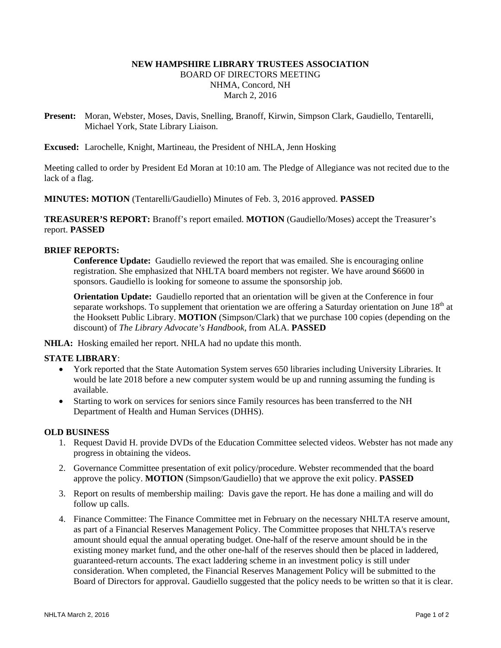# **NEW HAMPSHIRE LIBRARY TRUSTEES ASSOCIATION**  BOARD OF DIRECTORS MEETING NHMA, Concord, NH March 2, 2016

**Present:** Moran, Webster, Moses, Davis, Snelling, Branoff, Kirwin, Simpson Clark, Gaudiello, Tentarelli, Michael York, State Library Liaison.

**Excused:** Larochelle, Knight, Martineau, the President of NHLA, Jenn Hosking

Meeting called to order by President Ed Moran at 10:10 am. The Pledge of Allegiance was not recited due to the lack of a flag.

**MINUTES: MOTION** (Tentarelli/Gaudiello) Minutes of Feb. 3, 2016 approved. **PASSED**

**TREASURER'S REPORT:** Branoff's report emailed. **MOTION** (Gaudiello/Moses) accept the Treasurer's report. **PASSED**

### **BRIEF REPORTS:**

**Conference Update:** Gaudiello reviewed the report that was emailed. She is encouraging online registration. She emphasized that NHLTA board members not register. We have around \$6600 in sponsors. Gaudiello is looking for someone to assume the sponsorship job.

**Orientation Update:** Gaudiello reported that an orientation will be given at the Conference in four separate workshops. To supplement that orientation we are offering a Saturday orientation on June  $18<sup>th</sup>$  at the Hooksett Public Library. **MOTION** (Simpson/Clark) that we purchase 100 copies (depending on the discount) of *The Library Advocate's Handbook*, from ALA. **PASSED**

**NHLA:** Hosking emailed her report. NHLA had no update this month.

#### **STATE LIBRARY**:

- York reported that the State Automation System serves 650 libraries including University Libraries. It would be late 2018 before a new computer system would be up and running assuming the funding is available.
- Starting to work on services for seniors since Family resources has been transferred to the NH Department of Health and Human Services (DHHS).

#### **OLD BUSINESS**

- 1. Request David H. provide DVDs of the Education Committee selected videos. Webster has not made any progress in obtaining the videos.
- 2. Governance Committee presentation of exit policy/procedure. Webster recommended that the board approve the policy. **MOTION** (Simpson/Gaudiello) that we approve the exit policy. **PASSED**
- 3. Report on results of membership mailing: Davis gave the report. He has done a mailing and will do follow up calls.
- 4. Finance Committee: The Finance Committee met in February on the necessary NHLTA reserve amount, as part of a Financial Reserves Management Policy. The Committee proposes that NHLTA's reserve amount should equal the annual operating budget. One-half of the reserve amount should be in the existing money market fund, and the other one-half of the reserves should then be placed in laddered, guaranteed-return accounts. The exact laddering scheme in an investment policy is still under consideration. When completed, the Financial Reserves Management Policy will be submitted to the Board of Directors for approval. Gaudiello suggested that the policy needs to be written so that it is clear.